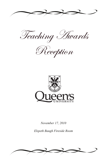

Teaching Awards

Reception



*November 17, 2010*

*Elspeth Baugh Fireside Room*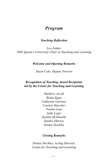# *Program*

### *Teaching Reflection*

*Leo Jonker 2005 Queen's University Chair in Teaching and Learning*

### *Welcome and Opening Remarks*

*Susan Cole, Deputy Provost*

### *Recognition of Teaching Award Recipients led by the Centre for Teaching and Learning*

*Matthew Ascah Rylan Egan Catherine Gurnsey Carolyn Hoessler Penina Lam Andy Leger Kaitlin McDonald Sandra Murray Denise Stockley*

### *Closing Remarks*

*Denise Stockley, Acting Director, Centre for Teaching and Learning*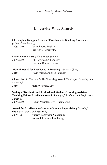# **University-Wide Awards**

|                      | <b>Christopher Knapper Award of Excellence in Teaching Assistance</b>                                                                       |
|----------------------|---------------------------------------------------------------------------------------------------------------------------------------------|
| (Alma Mater Society) |                                                                                                                                             |
| 2009/2010            | Jon Gaboury, English<br>Eric Keske, Chemistry                                                                                               |
|                      | Frank Knox Award (Alma Mater Society)                                                                                                       |
| 2009/2010            | Bill Newstead, Chemistry                                                                                                                    |
|                      | Grahame Renyk, Drama                                                                                                                        |
|                      | <b>Alumni Award for Excellence in Teaching (Alumni Affairs)</b>                                                                             |
| 2010                 | David Strong, Applied Sciences                                                                                                              |
| Learning)            | Chancellor A. Charles Baillie Teaching Award (Centre for Teaching and                                                                       |
| 2010                 | Mark Weisberg, Law                                                                                                                          |
|                      | Society of Graduate and Professional Students Teaching Assistant/<br>Teaching Fellow Excellence Award (Society of Graduate and Professional |
| Students)            |                                                                                                                                             |
| 2009/2010            | Usman Mushtaq, Civil Engineering                                                                                                            |
|                      | Award for Excellence in Graduate Student Supervision (School of                                                                             |
|                      | <b>Graduate Studies and Research)</b>                                                                                                       |
| 2009 - 2010          | Audrey Kobayashi, Geography                                                                                                                 |
|                      | Roderick Lindsay, Psychology                                                                                                                |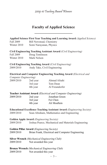# **Faculty of Applied Science \_\_\_\_\_\_\_\_\_\_\_\_\_\_\_\_\_\_\_\_**

|                                                  |                          | <b>Applied Science First Year Teaching and Learning Award (Applied Science)</b> |  |
|--------------------------------------------------|--------------------------|---------------------------------------------------------------------------------|--|
| Fall 2009                                        | Bill Newstead, Chemistry |                                                                                 |  |
| Winter 2010                                      | Somi Narayanan, Physics  |                                                                                 |  |
|                                                  |                          | Civil Engineering Teaching Assistant Award (Civil Engineering)                  |  |
| Fall 2009                                        | Doug Tomlinson           |                                                                                 |  |
| Winter 2010                                      | Mark Nelson              |                                                                                 |  |
|                                                  |                          | Civil Engineering Teaching Award (Civil Engineering)                            |  |
| 2009/2010                                        |                          | Andy Take, Civil Engineering                                                    |  |
|                                                  |                          | Electrical and Computer Engineering Teaching Award (Electrical and              |  |
| Computer Engineering)                            |                          |                                                                                 |  |
| 2009/2010                                        | 2nd year                 | Ahmad Afsahi                                                                    |  |
|                                                  | 3rd year                 | Tom Dean                                                                        |  |
|                                                  | 4th year                 | Al Freundorfer                                                                  |  |
|                                                  |                          | Teacher Assistant Award (Electrical and Computer Engineering)                   |  |
| 2009/2010                                        | 2nd year                 | Jonathan Green                                                                  |  |
|                                                  | 3rd year                 | Fei Chen                                                                        |  |
|                                                  | 4th year                 | Ali Moallem                                                                     |  |
|                                                  |                          | <b>Educational Excellence Teaching Assistant Award (Engineering Society)</b>    |  |
| 2009/2010                                        |                          | Sean Abraham, Mathematics and Engineering                                       |  |
| <b>Golden Apple Award</b> (Engineering Society)  |                          |                                                                                 |  |
| 2009/2010                                        |                          | Joshua Pearce, Mechanical and Materials Engineering                             |  |
| <b>Golden Pillar Award</b> (Engineering Society) |                          |                                                                                 |  |
| 2009/2010                                        |                          | Brian Frank, Electrical and Computer Engineering                                |  |
|                                                  |                          | Silver Wrench (Mechanical Engineering Club)                                     |  |
| 2009/2010                                        | Not awarded this year    |                                                                                 |  |
|                                                  |                          | <b>Bronze Wrench</b> (Mechanical Engineering Club)                              |  |

2009/2010 Not awarded this year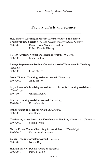# **Faculty of Arts and Science \_\_\_\_\_\_\_\_\_\_\_\_\_\_\_\_\_\_\_\_\_\_\_\_\_\_\_\_\_**

| 2009/2010              | W.J. Barnes Teaching Excellence Award for Arts and Science<br><b>Undergraduate Society</b> (Arts and Science Undergraduate Society)<br>Dana Olwan, Women's Studies<br>Robert Dennis, History |
|------------------------|----------------------------------------------------------------------------------------------------------------------------------------------------------------------------------------------|
| 2009/2010              | <b>Biology Award for Excellence (Demonstrators) (Biology)</b><br>Mark Conboy                                                                                                                 |
| (Biology)<br>2009/2010 | <b>Biology Department Student Council Award of Excellence in Teaching</b><br>Chris Moyes                                                                                                     |
| 2009/2010              | David Thomas Teaching Assistant Award (Chemistry)<br>Andy Fraser                                                                                                                             |
| (Chemistry)<br>2009-10 | Department of Chemistry Award for Excellence in Teaching Assistance<br>Gillian Mackey                                                                                                        |
| 2009/2010              | Din Lal Teaching Assistant Award (Chemistry)<br>Elize Ceschia                                                                                                                                |
| 2009/2010              | <b>Fisher Scientific Teaching Award (Chemistry)</b><br>Zac Hudson                                                                                                                            |
| 2009/2010              | Graduating Class Award for Excellence in Teaching Chemistry (Chemistry)<br>Suning Wang                                                                                                       |
| 2009/2010              | Merck Frosst Canada Teaching Assistant Award (Chemistry)<br>Not awarded this year                                                                                                            |
| 2009/2010              | Varian Teaching Assistant Award (Chemistry)<br>Nicole Day                                                                                                                                    |
|                        | William Patrick Doolan Award (Chemistry)                                                                                                                                                     |

2009/2010 Patrick Cashin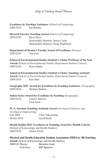**Excellence in Teaching Assistance** *(School of Computing)* 2009/2010 Ian Bentley

**Howard Staveley Teaching Award** *(School of Computing)* 2009/2010 Dave Dove Honourable Mention: James Cordy Honourable Mention: Doug Wightman

**Department of Drama's Faculty Award of Excellence** *(Drama)* 2009/2010 Tim Fort

**School of Environmental Studies Student's Choice Professor of the Year Award** *(School of Environmental Studies Department Student Council)* 2009/2010 Ryan Danby

**School of Environmental Studies Student's Choice Teaching Assistant Award** *(School of Environmental Studies Department Student Council)* 2009/2010 Kris Hart

**Geography DSC Award for Excellence in Teaching Assistance** *(Geography)* 2009/2010 Melanie Bedore

**Julian Szeicz Award for Excellence in Teaching** *(Geography)* 2009/2010 Laura Cameron

Neal Scott

**W. A. Gorman Teaching Assistant Award** *(Geological Sciences and* 

*Geological Engineering)* Fall 2009 Chris Yakymchuk Winter 2010 Geoff Reith

**Health Studies DSC Excellence in Teaching Award for Health Courses**  (School of Kinesiology and Health Studies) 2009/2010 Elaine Power

**Physical and Health Education Student Association (PHESA) '88 Teaching Award** *(School of Kinesiology and Health Studies)*

2009/10 Theory: Brendon Gurd Activities: Bill Sparrow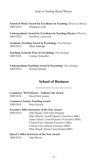**School of Music Award for Excellence in Teaching** *(School of Music)* 2009/2010 Stephanie Lind

**Undergraduate Award for Excellence in Teaching Physics** *(Physics)* 2009/2010 Geoffrey Lockwood

**Graduate Teaching Award in Psychology** *(Psychology)* 2009/2010 Mark Sabbagh

**Teaching Assistant Prize in Psychology** *(Psychology)* 2009/2010 Lindsay Schaeffer

**Undergraduate Teaching Award in Psychology** *(Psychology)* 2009/2010 Patricia Minnes

# **School of Business \_\_\_\_\_\_\_\_\_\_\_\_\_\_\_\_\_\_\_**

### **Commerce '89 Professor – Student Life Award**

2009/2010 David McConomy

#### **Commerce Society Teaching Award**

2009/2010 Peter Kissick

#### **Executive MBA Instructor of the Year Award**

2009/2010 John Moore, Full-Time Program Marc Busch, Cornell-Queen's Executive MBA James Detert, Cornell-Queen's Executive MBA Clinton Free, National Executive MBA Clinton Free, Ottawa Executive MBA Marc Busch, Queen's Accelerated MBA

#### **Queen's MBA Instructor of the Year Award**

2009/2010 John Moore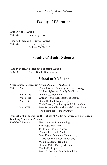## **Faculty of Education \_\_\_\_\_\_\_\_\_\_\_\_\_\_\_\_\_\_\_\_\_**

**Golden Apple Award** 2009/2010 Jan Hartgerink

**Rose A. Freeman Memorial Award** 2009/2010 Terry Bridges Shireen VanBuskirk

## **Faculty of Health Sciences \_\_\_\_\_\_\_\_\_\_\_\_\_\_\_\_\_\_\_\_\_\_\_\_\_\_\_\_**

#### **Faculty of Health Sciences Education Award**

2009/2010 Vinay Singh, Biochemistry

### **~ School of Medicine ~**

#### **Aesculapian Lectureship Award** *(School of Medicine)*

| 2009 | Phase I:   | Conrad Reifel, Anatomy and Cell Biology     |
|------|------------|---------------------------------------------|
|      |            | Michael Sylvester, Family Medicine          |
|      | Phase IIA: | David Lee, Medicine                         |
|      | Phase IIB: | Gordon Boyd, Neurosciences Studies          |
|      | Phase IIC: | David Holland, Nephrology                   |
|      |            | Chris Parker, Respiratory and Critical Care |
|      | Phase IIE: | Peter Bryson, Obstretrics and Gynaecology   |
|      |            | Robin Houlden, Endocrinology                |
|      |            |                                             |

#### **Clinical Skills Teachers in the School of Medicine Award of Excellence in Teaching** *(School of Medicine)*

| 2009/2010 Phase 1 | Henry Averns, Rheumatology       |
|-------------------|----------------------------------|
|                   | Jim Biagi, Medicine              |
|                   | Jay Engel, General Surgery       |
|                   | Christopher Frank, Medicine      |
|                   | Peter Froud, Oncology/Hematology |
|                   | Cherie Jones-Hiscock, Psychiatry |
|                   | Melanie Jaeger, Medicine         |
|                   | Heather Ostic, Family Medicine   |
|                   | Ken Reid, Surgery                |
|                   | Peggy Robertson, Family Medicine |
|                   |                                  |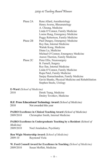| Phase 2A | Rene Allard, Anesthesiology                        |
|----------|----------------------------------------------------|
|          | Henry Averns, Rheumatology                         |
|          | A. Cheung, Medicine                                |
|          | Linda O'Connor, Family Medicine                    |
|          | Louise Rang, Emergency Medicine                    |
|          | Peggy Robertson, Family Medicine                   |
| Phase 2B | Paul Dungey, Emergency Medicine                    |
|          | Roy Ilan, Internal Medicine                        |
|          | Waitak Kong, Medicine                              |
|          | Diane Lu, Medicine                                 |
|          | Michael O'Connor, Emergency Medicine               |
|          | Arawn Therrien, Family Medicine                    |
| Phase 2C | Peter Ellis, Neurosurgery                          |
|          | B. Farnell, Surgery                                |
|          | Roy Ilan, Internal Medicine                        |
|          | Linda O'Connor, Family Medicine                    |
|          | Rupa Patel, Family Medicine                        |
|          | Sanjay Ramachandran, Family Medicine               |
|          | Gavin Shanks, Physical Medicine and Rehabilitation |
|          | Stephen Steele, Urology                            |

#### **E-Ward** *(School of Medicine)*

| 2010 |  | Derek Tsang, Medicine     |  |  |
|------|--|---------------------------|--|--|
|      |  | Dmitry Tsvetkov, Medicine |  |  |

- **H.F. Pross Educational Technology Award** *(School of Medicine)*
- 2010 Not awarded this year

### **PAIRO Excellence in Clinical Teaching Award** *(School of Medicine)*

2009/2010 Christopher Smith, Internal Medicine

#### **PAIRO Excellence in Undergraduate Teaching by a Resident** *(School of Medicine)*

2009/2010 Noel Amaladoss, Psychiatry

#### **Ron Wigle Mentorship Award** *(School of Medicine)*

2009-10 Raymond Viola

#### **W. Ford Connell Award for Excellence in Teaching** *(School of Medicine)* 2009/2010 Susan Moffatt, Medicine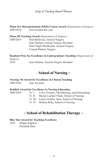**Phase IIA Musculoskeletal (MSK) Course Award** *(Department of Surgery)* 2009/2010 Not awarded this year

**Phase III Teaching Award** *(Department of Surgery)*

2009/2010 Paul Belliveau, General Surgery Sean Haslam, General Surgery Resident Peter Hugh MacDonald, General Surgery Conrad Watters, Surgery

### **Resident Prize for Excellence in Undergraduate Teaching** *(Department of*

| Surgery) |                                       |  |
|----------|---------------------------------------|--|
| 2010     | Sean Haslam, General Surgery Resident |  |

# **~ School of Nursing ~**

#### **Nursing '84 Award for Excellence in Clinical Teaching**

2009/2010 Jane Tyerman

#### **Reddick Award for Excellence in Nursing Education**

2009/2010 Yr. I Lewis Tomalty, Microbiology and Immunology

- Yr. II Marian Luctker-Flude, School of Nursing
- Yr. III Laurie Gedcke- Kerr, School of Nursing
- Yr. IV Melissa Raby, School of Nursing

## **~ School of Rehabilitation Therapy ~**

#### **Blue Star Award for Teaching Excellence**

2010 Megan Edgelow Elizabeth Sled